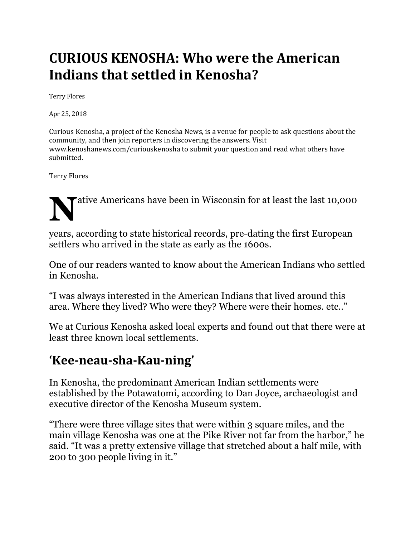## **CURIOUS KENOSHA: Who were the American Indians that settled in Kenosha?**

Terry Flores 

Apr 25, 2018

Curious Kenosha, a project of the Kenosha News, is a venue for people to ask questions about the community, and then join reporters in discovering the answers. Visit www.kenoshanews.com/curiouskenosha to submit your question and read what others have submitted. 

Terry Flores 

**N**ative Americans have been in Wisconsin for at least the last 10,000

years, according to state historical records, pre-dating the first European settlers who arrived in the state as early as the 1600s.

One of our readers wanted to know about the American Indians who settled in Kenosha.

"I was always interested in the American Indians that lived around this area. Where they lived? Who were they? Where were their homes. etc.."

We at Curious Kenosha asked local experts and found out that there were at least three known local settlements.

## **'Kee-neau-sha-Kau-ning'**

In Kenosha, the predominant American Indian settlements were established by the Potawatomi, according to Dan Joyce, archaeologist and executive director of the Kenosha Museum system.

"There were three village sites that were within 3 square miles, and the main village Kenosha was one at the Pike River not far from the harbor," he said. "It was a pretty extensive village that stretched about a half mile, with 200 to 300 people living in it."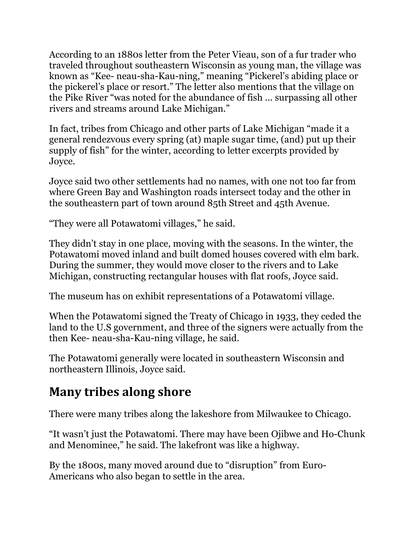According to an 1880s letter from the Peter Vieau, son of a fur trader who traveled throughout southeastern Wisconsin as young man, the village was known as "Kee- neau-sha-Kau-ning," meaning "Pickerel's abiding place or the pickerel's place or resort." The letter also mentions that the village on the Pike River "was noted for the abundance of fish ... surpassing all other rivers and streams around Lake Michigan."

In fact, tribes from Chicago and other parts of Lake Michigan "made it a general rendezvous every spring (at) maple sugar time, (and) put up their supply of fish" for the winter, according to letter excerpts provided by Joyce.

Joyce said two other settlements had no names, with one not too far from where Green Bay and Washington roads intersect today and the other in the southeastern part of town around 85th Street and 45th Avenue.

"They were all Potawatomi villages," he said.

They didn't stay in one place, moving with the seasons. In the winter, the Potawatomi moved inland and built domed houses covered with elm bark. During the summer, they would move closer to the rivers and to Lake Michigan, constructing rectangular houses with flat roofs, Joyce said.

The museum has on exhibit representations of a Potawatomi village.

When the Potawatomi signed the Treaty of Chicago in 1933, they ceded the land to the U.S government, and three of the signers were actually from the then Kee- neau-sha-Kau-ning village, he said.

The Potawatomi generally were located in southeastern Wisconsin and northeastern Illinois, Joyce said.

## **Many tribes along shore**

There were many tribes along the lakeshore from Milwaukee to Chicago.

"It wasn't just the Potawatomi. There may have been Ojibwe and Ho-Chunk and Menominee," he said. The lakefront was like a highway.

By the 1800s, many moved around due to "disruption" from Euro-Americans who also began to settle in the area.